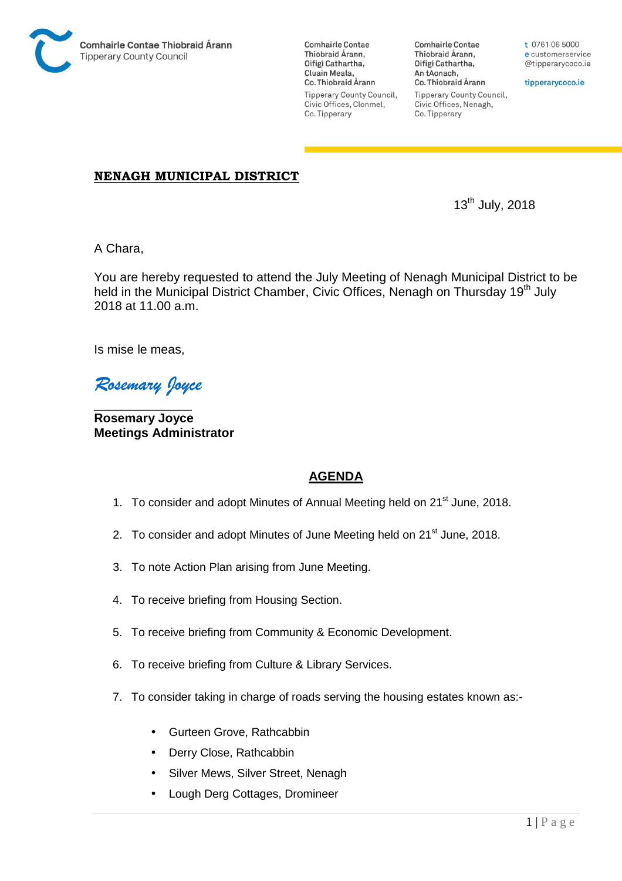

**Comhairle Contae** Thiobraid Árann. Oifigí Cathartha, Cluain Meala, Co. Thiobraid Árann **Tipperary County Council,** Civic Offices, Clonmel, Co. Tipperary

**Comhairle Contae** Thiobraid Árann, Oifigí Cathartha, An tAonach, Co. Thiobraid Árann **Tipperary County Council,** Civic Offices, Nenagh, Co. Tipperary

t 0761 06 5000 e customerservice @tipperarycoco.ie

tipperarycoco.ie

## **NENAGH MUNICIPAL DISTRICT**

13th July, 2018

A Chara,

You are hereby requested to attend the July Meeting of Nenagh Municipal District to be held in the Municipal District Chamber, Civic Offices, Nenagh on Thursday 19<sup>th</sup> July 2018 at 11.00 a.m.

Is mise le meas,

*Rosemary Joyce* 

\_\_\_\_\_\_\_\_\_\_\_\_\_\_ **Rosemary Joyce Meetings Administrator** 

# **AGENDA**

- 1. To consider and adopt Minutes of Annual Meeting held on 21<sup>st</sup> June, 2018.
- 2. To consider and adopt Minutes of June Meeting held on 21<sup>st</sup> June, 2018.
- 3. To note Action Plan arising from June Meeting.
- 4. To receive briefing from Housing Section.
- 5. To receive briefing from Community & Economic Development.
- 6. To receive briefing from Culture & Library Services.
- 7. To consider taking in charge of roads serving the housing estates known as:-
	- Gurteen Grove, Rathcabbin
	- Derry Close, Rathcabbin
	- Silver Mews, Silver Street, Nenagh
	- Lough Derg Cottages, Dromineer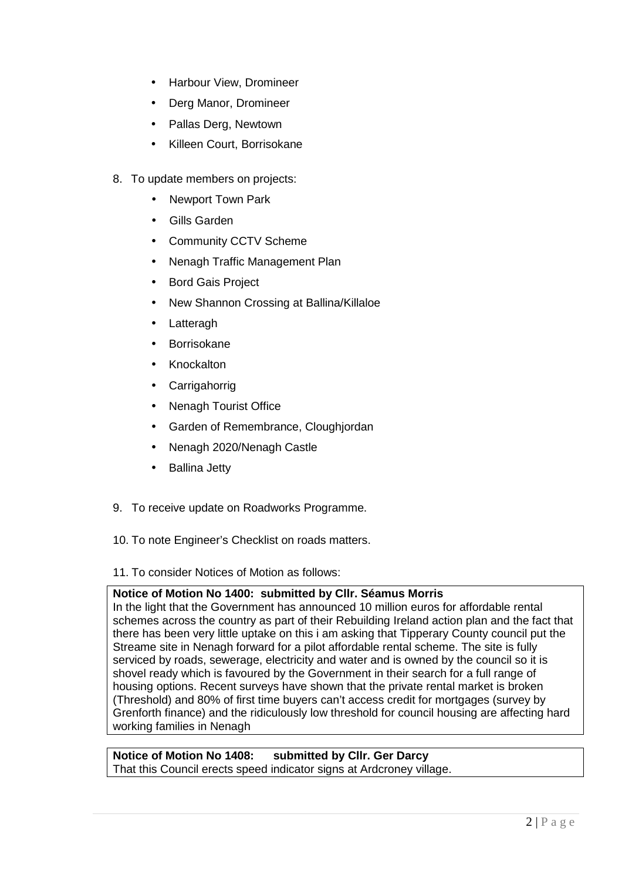- Harbour View, Dromineer
- Derg Manor, Dromineer
- Pallas Derg, Newtown
- Killeen Court, Borrisokane
- 8. To update members on projects:
	- Newport Town Park
	- Gills Garden
	- Community CCTV Scheme
	- Nenagh Traffic Management Plan
	- Bord Gais Project
	- New Shannon Crossing at Ballina/Killaloe
	- **Latteragh**
	- **Borrisokane**
	- Knockalton
	- Carrigahorrig
	- Nenagh Tourist Office
	- Garden of Remembrance, Cloughjordan
	- Nenagh 2020/Nenagh Castle
	- Ballina Jetty
- 9. To receive update on Roadworks Programme.
- 10. To note Engineer's Checklist on roads matters.

11. To consider Notices of Motion as follows:

#### **Notice of Motion No 1400: submitted by Cllr. Séamus Morris**

In the light that the Government has announced 10 million euros for affordable rental schemes across the country as part of their Rebuilding Ireland action plan and the fact that there has been very little uptake on this i am asking that Tipperary County council put the Streame site in Nenagh forward for a pilot affordable rental scheme. The site is fully serviced by roads, sewerage, electricity and water and is owned by the council so it is shovel ready which is favoured by the Government in their search for a full range of housing options. Recent surveys have shown that the private rental market is broken (Threshold) and 80% of first time buyers can't access credit for mortgages (survey by Grenforth finance) and the ridiculously low threshold for council housing are affecting hard working families in Nenagh

**Notice of Motion No 1408: submitted by Cllr. Ger Darcy**  That this Council erects speed indicator signs at Ardcroney village.